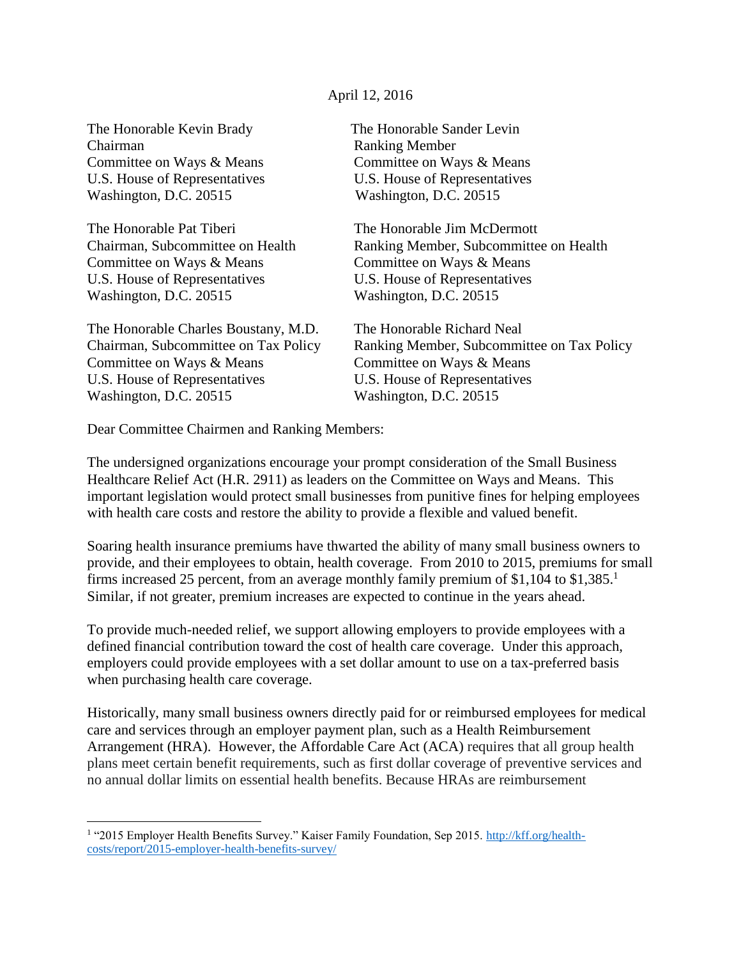## April 12, 2016

The Honorable Kevin Brady The Honorable Sander Levin Chairman Ranking Member Committee on Ways & Means Committee on Ways & Means U.S. House of Representatives U.S. House of Representatives Washington, D.C. 20515 Washington, D.C. 20515

The Honorable Pat Tiberi The Honorable Jim McDermott Committee on Ways & Means Committee on Ways & Means U.S. House of Representatives U.S. House of Representatives Washington, D.C. 20515 Washington, D.C. 20515

The Honorable Charles Boustany, M.D. The Honorable Richard Neal Committee on Ways & Means Committee on Ways & Means U.S. House of Representatives U.S. House of Representatives Washington, D.C. 20515 Washington, D.C. 20515

 $\overline{\phantom{a}}$ 

Chairman, Subcommittee on Health Ranking Member, Subcommittee on Health

Chairman, Subcommittee on Tax Policy Ranking Member, Subcommittee on Tax Policy

Dear Committee Chairmen and Ranking Members:

The undersigned organizations encourage your prompt consideration of the Small Business Healthcare Relief Act (H.R. 2911) as leaders on the Committee on Ways and Means. This important legislation would protect small businesses from punitive fines for helping employees with health care costs and restore the ability to provide a flexible and valued benefit.

Soaring health insurance premiums have thwarted the ability of many small business owners to provide, and their employees to obtain, health coverage. From 2010 to 2015, premiums for small firms increased 25 percent, from an average monthly family premium of \$1,104 to \$1,385. 1 Similar, if not greater, premium increases are expected to continue in the years ahead.

To provide much-needed relief, we support allowing employers to provide employees with a defined financial contribution toward the cost of health care coverage. Under this approach, employers could provide employees with a set dollar amount to use on a tax-preferred basis when purchasing health care coverage.

Historically, many small business owners directly paid for or reimbursed employees for medical care and services through an employer payment plan, such as a Health Reimbursement Arrangement (HRA). However, the Affordable Care Act (ACA) requires that all group health plans meet certain benefit requirements, such as first dollar coverage of preventive services and no annual dollar limits on essential health benefits. Because HRAs are reimbursement

<sup>&</sup>lt;sup>1</sup> "2015 Employer Health Benefits Survey." Kaiser Family Foundation, Sep 2015. [http://kff.org/health](http://kff.org/health-costs/report/2015-employer-health-benefits-survey/)[costs/report/2015-employer-health-benefits-survey/](http://kff.org/health-costs/report/2015-employer-health-benefits-survey/)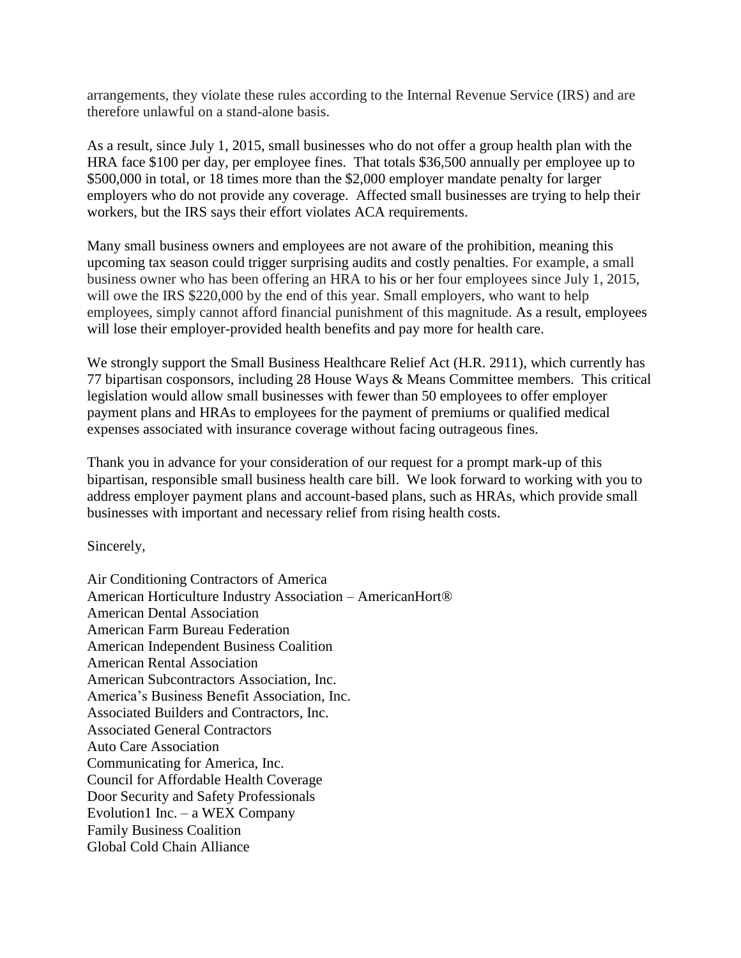arrangements, they violate these rules according to the Internal Revenue Service (IRS) and are therefore unlawful on a stand-alone basis.

As a result, since July 1, 2015, small businesses who do not offer a group health plan with the HRA face \$100 per day, per employee fines. That totals \$36,500 annually per employee up to \$500,000 in total, or 18 times more than the \$2,000 employer mandate penalty for larger employers who do not provide any coverage. Affected small businesses are trying to help their workers, but the IRS says their effort violates ACA requirements.

Many small business owners and employees are not aware of the prohibition, meaning this upcoming tax season could trigger surprising audits and costly penalties. For example, a small business owner who has been offering an HRA to his or her four employees since July 1, 2015, will owe the IRS \$220,000 by the end of this year. Small employers, who want to help employees, simply cannot afford financial punishment of this magnitude. As a result, employees will lose their employer-provided health benefits and pay more for health care.

We strongly support the Small Business Healthcare Relief Act (H.R. 2911), which currently has 77 bipartisan cosponsors, including 28 House Ways & Means Committee members. This critical legislation would allow small businesses with fewer than 50 employees to offer employer payment plans and HRAs to employees for the payment of premiums or qualified medical expenses associated with insurance coverage without facing outrageous fines.

Thank you in advance for your consideration of our request for a prompt mark-up of this bipartisan, responsible small business health care bill. We look forward to working with you to address employer payment plans and account-based plans, such as HRAs, which provide small businesses with important and necessary relief from rising health costs.

Sincerely,

Air Conditioning Contractors of America American Horticulture Industry Association – AmericanHort® American Dental Association American Farm Bureau Federation American Independent Business Coalition American Rental Association American Subcontractors Association, Inc. America's Business Benefit Association, Inc. Associated Builders and Contractors, Inc. Associated General Contractors Auto Care Association Communicating for America, Inc. Council for Affordable Health Coverage Door Security and Safety Professionals Evolution1 Inc. – a WEX Company Family Business Coalition Global Cold Chain Alliance